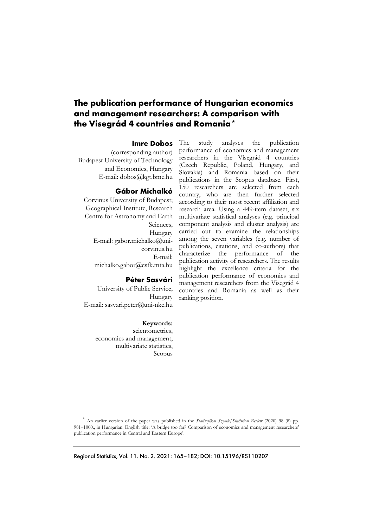# **The publication performance of Hungarian economics and management researchers: A comparison with the Visegrád 4 countries and Romania\*\***

### **Imre Dobos**

(corresponding author) Budapest University of Technology and Economics, Hungary E-mail: dobos@kgt.bme.hu

### **Gábor Michalkó**

Corvinus University of Budapest; Geographical Institute, Research Centre for Astronomy and Earth Sciences, Hungary E-mail: gabor.michalko@unicorvinus.hu E-mail: michalko.gabor@csfk.mta.hu

### **Péter Sasvári**

University of Public Service, Hungary E-mail: sasvari.peter@uni-nke.hu

#### **Keywords:**

scientometrics, economics and management, multivariate statistics, Scopus The study analyses the publication performance of economics and management researchers in the Visegrád 4 countries (Czech Republic, Poland, Hungary, and Slovakia) and Romania based on their publications in the Scopus database. First, 150 researchers are selected from each country, who are then further selected according to their most recent affiliation and research area. Using a 449-item dataset, six multivariate statistical analyses (e.g. principal component analysis and cluster analysis) are carried out to examine the relationships among the seven variables (e.g. number of publications, citations, and co-authors) that characterize the performance of the publication activity of researchers. The results highlight the excellence criteria for the publication performance of economics and management researchers from the Visegrád 4 countries and Romania as well as their ranking position.

 \* An earlier version of the paper was published in the *Statisztikai Szemle/Statistical Review* (2020) 98 (8) pp. 981–1000., in Hungarian. English title: 'A bridge too far? Comparison of economics and management researchers' publication performance in Central and Eastern Europe'.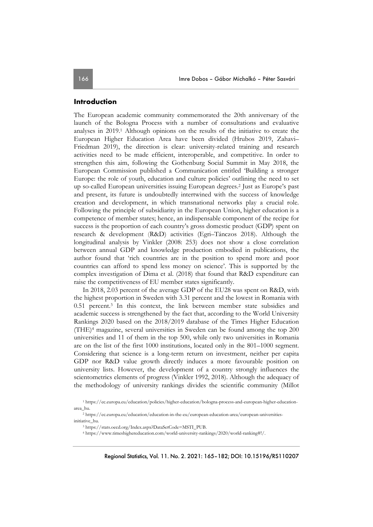#### **Introduction**

The European academic community commemorated the 20th anniversary of the launch of the Bologna Process with a number of consultations and evaluative analyses in 2019.1 Although opinions on the results of the initiative to create the European Higher Education Area have been divided (Hrubos 2019, Zahavi– Friedman 2019), the direction is clear: university-related training and research activities need to be made efficient, interoperable, and competitive. In order to strengthen this aim, following the Gothenburg Social Summit in May 2018, the European Commission published a Communication entitled 'Building a stronger Europe: the role of youth, education and culture policies' outlining the need to set up so-called European universities issuing European degrees.2 Just as Europe's past and present, its future is undoubtedly intertwined with the success of knowledge creation and development, in which transnational networks play a crucial role. Following the principle of subsidiarity in the European Union, higher education is a competence of member states; hence, an indispensable component of the recipe for success is the proportion of each country's gross domestic product (GDP) spent on research & development (R&D) activities (Egri–Tánczos 2018). Although the longitudinal analysis by Vinkler (2008: 253) does not show a close correlation between annual GDP and knowledge production embodied in publications, the author found that 'rich countries are in the position to spend more and poor countries can afford to spend less money on science'. This is supported by the complex investigation of Dima et al. (2018) that found that R&D expenditure can raise the competitiveness of EU member states significantly.

In 2018, 2.03 percent of the average GDP of the EU28 was spent on R&D, with the highest proportion in Sweden with 3.31 percent and the lowest in Romania with 0.51 percent.<sup>3</sup> In this context, the link between member state subsidies and academic success is strengthened by the fact that, according to the World University Rankings 2020 based on the 2018/2019 database of the Times Higher Education (THE)4 magazine, several universities in Sweden can be found among the top 200 universities and 11 of them in the top 500, while only two universities in Romania are on the list of the first 1000 institutions, located only in the 801–1000 segment. Considering that science is a long-term return on investment, neither per capita GDP nor R&D value growth directly induces a more favourable position on university lists. However, the development of a country strongly influences the scientometrics elements of progress (Vinkler 1992, 2018). Although the adequacy of the methodology of university rankings divides the scientific community (Millot

<sup>1</sup> https://ec.europa.eu/education/policies/higher-education/bologna-process-and-european-higher-educationarea\_hu.

<sup>2</sup> https://ec.europa.eu/education/education-in-the-eu/european-education-area/european-universitiesinitiative\_hu.

<sup>3</sup> https://stats.oecd.org/Index.aspx?DataSetCode=MSTI\_PUB.

<sup>4</sup> https://www.timeshighereducation.com/world-university-rankings/2020/world-ranking#!/.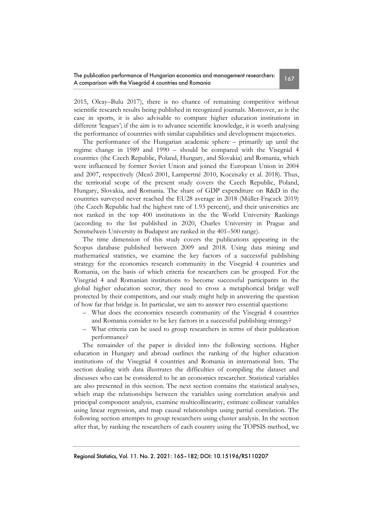2015, Olcay–Bulu 2017), there is no chance of remaining competitive without scientific research results being published in recognized journals. Moreover, as is the case in sports, it is also advisable to compare higher education institutions in different 'leagues'; if the aim is to advance scientific knowledge, it is worth analysing the performance of countries with similar capabilities and development trajectories.

The performance of the Hungarian academic sphere – primarily up until the regime change in 1989 and 1990 – should be compared with the Visegrád 4 countries (the Czech Republic, Poland, Hungary, and Slovakia) and Romania, which were influenced by former Soviet Union and joined the European Union in 2004 and 2007, respectively (Mező 2001, Lampertné 2010, Kocziszky et al. 2018). Thus, the territorial scope of the present study covers the Czech Republic, Poland, Hungary, Slovakia, and Romania. The share of GDP expenditure on R&D in the countries surveyed never reached the EU28 average in 2018 (Müller-Frączek 2019) (the Czech Republic had the highest rate of 1.93 percent), and their universities are not ranked in the top 400 institutions in the the World University Rankings (according to the list published in 2020, Charles University in Prague and Semmelweis University in Budapest are ranked in the 401–500 range).

The time dimension of this study covers the publications appearing in the Scopus database published between 2009 and 2018. Using data mining and mathematical statistics, we examine the key factors of a successful publishing strategy for the economics research community in the Visegrád 4 countries and Romania, on the basis of which criteria for researchers can be grouped. For the Visegrád 4 and Romanian institutions to become successful participants in the global higher education sector, they need to cross a metaphorical bridge well protected by their competitors, and our study might help in answering the question of how far that bridge is. In particular, we aim to answer two essential questions:

- What does the economics research community of the Visegrád 4 countries and Romania consider to be key factors in a successful publishing strategy?
- What criteria can be used to group researchers in terms of their publication performance?

The remainder of the paper is divided into the following sections. Higher education in Hungary and abroad outlines the ranking of the higher education institutions of the Visegrád 4 countries and Romania in international lists. The section dealing with data illustrates the difficulties of compiling the dataset and discusses who can be considered to be an economics researcher. Statistical variables are also presented in this section. The next section contains the statistical analyses, which map the relationships between the variables using correlation analysis and principal component analysis, examine multicollinearity, estimate collinear variables using linear regression, and map causal relationships using partial correlation. The following section attempts to group researchers using cluster analysis. In the section after that, by ranking the researchers of each country using the TOPSIS method, we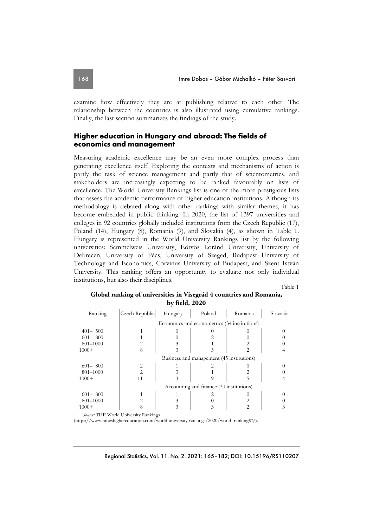examine how effectively they are at publishing relative to each other. The relationship between the countries is also illustrated using cumulative rankings. Finally, the last section summarizes the findings of the study.

## **Higher education in Hungary and abroad: The fields of economics and management**

Measuring academic excellence may be an even more complex process than generating excellence itself. Exploring the contexts and mechanisms of action is partly the task of science management and partly that of scientometrics, and stakeholders are increasingly expecting to be ranked favourably on lists of excellence. The World University Rankings list is one of the more prestigious lists that assess the academic performance of higher education institutions. Although its methodology is debated along with other rankings with similar themes, it has become embedded in public thinking. In 2020, the list of 1397 universities and colleges in 92 countries globally included institutions from the Czech Republic (17), Poland (14), Hungary (8), Romania (9), and Slovakia (4), as shown in Table 1. Hungary is represented in the World University Rankings list by the following universities: Semmelweis University, Eötvös Loránd University, University of Debrecen, University of Pécs, University of Szeged, Budapest University of Technology and Economics, Corvinus University of Budapest, and Szent István University. This ranking offers an opportunity to evaluate not only individual institutions, but also their disciplines.

Table 1

| Ranking     | Czech Republic                        | Hungary                                      | Poland | Romania        | Slovakia |  |  |  |  |  |  |
|-------------|---------------------------------------|----------------------------------------------|--------|----------------|----------|--|--|--|--|--|--|
|             |                                       | Economics and econometrics (34 institutions) |        |                |          |  |  |  |  |  |  |
| $401 - 500$ |                                       |                                              |        |                |          |  |  |  |  |  |  |
| $601 - 800$ |                                       |                                              |        |                |          |  |  |  |  |  |  |
| 801-1000    | 2                                     |                                              |        |                |          |  |  |  |  |  |  |
| $1000+$     | 8                                     | 3                                            | 5      | 2              |          |  |  |  |  |  |  |
|             |                                       | Business and management (45 institutions)    |        |                |          |  |  |  |  |  |  |
| $601 - 800$ | 2                                     |                                              |        |                |          |  |  |  |  |  |  |
| 801-1000    | $\overline{2}$                        |                                              |        |                |          |  |  |  |  |  |  |
| $1000+$     | 11                                    | 3                                            |        | 5              |          |  |  |  |  |  |  |
|             |                                       | Accounting and finance (30 institutions)     |        |                |          |  |  |  |  |  |  |
| $601 - 800$ |                                       |                                              |        |                |          |  |  |  |  |  |  |
| 801-1000    | 2                                     |                                              |        |                |          |  |  |  |  |  |  |
| $1000+$     | 8                                     | 3                                            | 3      | $\mathfrak{D}$ |          |  |  |  |  |  |  |
|             | Source: THE World University Rankings |                                              |        |                |          |  |  |  |  |  |  |

## **Global ranking of universities in Visegrád 4 countries and Romania, by field, 2020**

(https://www.timeshighereducation.com/world-university-rankings/2020/world- ranking#!/).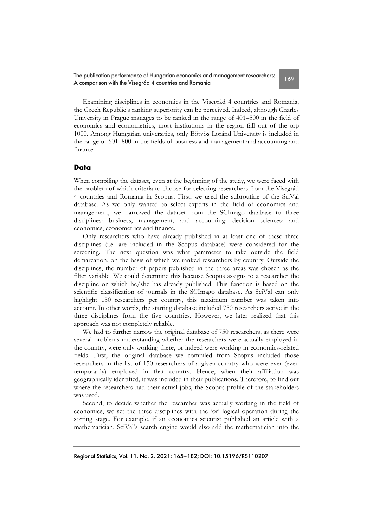The publication performance of Hungarian economics and management researchers: The publication performance or Hungarian economics and management researchers:<br>A comparison with the Visegrád 4 countries and Romania

Examining disciplines in economics in the Visegrád 4 countries and Romania, the Czech Republic's ranking superiority can be perceived. Indeed, although Charles University in Prague manages to be ranked in the range of 401–500 in the field of economics and econometrics, most institutions in the region fall out of the top 1000. Among Hungarian universities, only Eötvös Loránd University is included in the range of 601–800 in the fields of business and management and accounting and finance.

## **Data**

When compiling the dataset, even at the beginning of the study, we were faced with the problem of which criteria to choose for selecting researchers from the Visegrád 4 countries and Romania in Scopus. First, we used the subroutine of the SciVal database. As we only wanted to select experts in the field of economics and management, we narrowed the dataset from the SCImago database to three disciplines: business, management, and accounting; decision sciences; and economics, econometrics and finance.

Only researchers who have already published in at least one of these three disciplines (i.e. are included in the Scopus database) were considered for the screening. The next question was what parameter to take outside the field demarcation, on the basis of which we ranked researchers by country. Outside the disciplines, the number of papers published in the three areas was chosen as the filter variable. We could determine this because Scopus assigns to a researcher the discipline on which he/she has already published. This function is based on the scientific classification of journals in the SCImago database. As SciVal can only highlight 150 researchers per country, this maximum number was taken into account. In other words, the starting database included 750 researchers active in the three disciplines from the five countries. However, we later realized that this approach was not completely reliable.

We had to further narrow the original database of 750 researchers, as there were several problems understanding whether the researchers were actually employed in the country, were only working there, or indeed were working in economics-related fields. First, the original database we compiled from Scopus included those researchers in the list of 150 researchers of a given country who were ever (even temporarily) employed in that country. Hence, when their affiliation was geographically identified, it was included in their publications. Therefore, to find out where the researchers had their actual jobs, the Scopus profile of the stakeholders was used.

Second, to decide whether the researcher was actually working in the field of economics, we set the three disciplines with the 'or' logical operation during the sorting stage. For example, if an economics scientist published an article with a mathematician, SciVal's search engine would also add the mathematician into the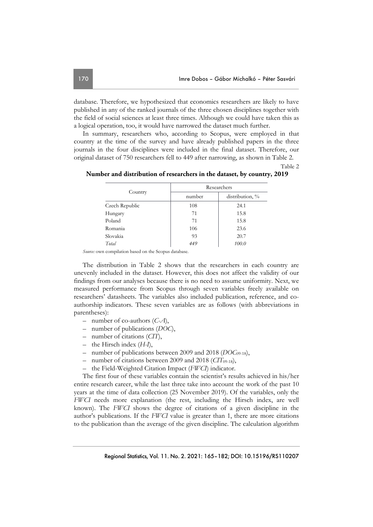database. Therefore, we hypothesized that economics researchers are likely to have published in any of the ranked journals of the three chosen disciplines together with the field of social sciences at least three times. Although we could have taken this as a logical operation, too, it would have narrowed the dataset much further.

In summary, researchers who, according to Scopus, were employed in that country at the time of the survey and have already published papers in the three journals in the four disciplines were included in the final dataset. Therefore, our original dataset of 750 researchers fell to 449 after narrowing, as shown in Table 2.

#### Table 2

|                | Researchers |                 |  |  |  |
|----------------|-------------|-----------------|--|--|--|
| Country        | number      | distribution, % |  |  |  |
| Czech Republic | 108         | 24.1            |  |  |  |
| Hungary        | 71          | 15.8            |  |  |  |
| Poland         | 71          | 15.8            |  |  |  |
| Romania        | 106         | 23.6            |  |  |  |
| Slovakia       | 93          | 20.7            |  |  |  |
| Total          | 449         | 100.0           |  |  |  |

 **Number and distribution of researchers in the dataset, by country, 2019** 

*Source:* own compilation based on the Scopus database.

The distribution in Table 2 shows that the researchers in each country are unevenly included in the dataset. However, this does not affect the validity of our findings from our analyses because there is no need to assume uniformity. Next, we measured performance from Scopus through seven variables freely available on researchers' datasheets. The variables also included publication, reference, and coauthorship indicators. These seven variables are as follows (with abbreviations in parentheses):

- number of co-authors (*C-A*),
- number of publications (*DOC*),
- number of citations (*CIT*),
- the Hirsch index (*H-I*),
- number of publications between 2009 and 2018 (*DOC*09-18),
- number of citations between 2009 and 2018 (*CIT*09-18),
- the Field-Weighted Citation Impact (*FWCI*) indicator.

The first four of these variables contain the scientist's results achieved in his/her entire research career, while the last three take into account the work of the past 10 years at the time of data collection (25 November 2019). Of the variables, only the *FWCI* needs more explanation (the rest, including the Hirsch index, are well known). The *FWCI* shows the degree of citations of a given discipline in the author's publications. If the *FWCI* value is greater than 1, there are more citations to the publication than the average of the given discipline. The calculation algorithm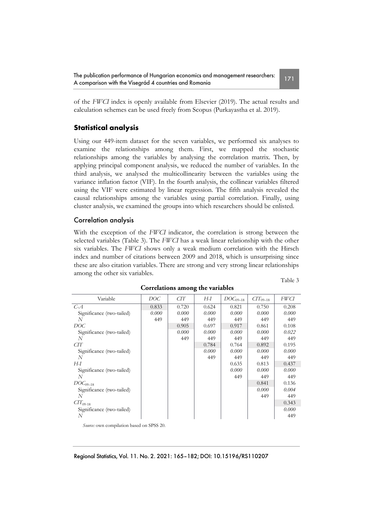The publication performance of Hungarian economics and management researchers: The publication performance of Hungarian economics and management researchers:<br>A comparison with the Visegrád 4 countries and Romania

of the *FWCI* index is openly available from Elsevier (2019). The actual results and calculation schemes can be used freely from Scopus (Purkayastha et al. 2019).

## **Statistical analysis**

Using our 449-item dataset for the seven variables, we performed six analyses to examine the relationships among them. First, we mapped the stochastic relationships among the variables by analysing the correlation matrix. Then, by applying principal component analysis, we reduced the number of variables. In the third analysis, we analysed the multicollinearity between the variables using the variance inflation factor (VIF). In the fourth analysis, the collinear variables filtered using the VIF were estimated by linear regression. The fifth analysis revealed the causal relationships among the variables using partial correlation. Finally, using cluster analysis, we examined the groups into which researchers should be enlisted.

#### Correlation analysis

With the exception of the *FWCI* indicator, the correlation is strong between the selected variables (Table 3). The *FWCI* has a weak linear relationship with the other six variables. The *FWCI* shows only a weak medium correlation with the Hirsch index and number of citations between 2009 and 2018, which is unsurprising since these are also citation variables. There are strong and very strong linear relationships among the other six variables.

| ۹<br>ł<br>٧ |  |
|-------------|--|

| Variable                      | DOC   | СIТ   | H-I   | $DOC09-18$ | $CTT_{09-18}$ | FWCI  |
|-------------------------------|-------|-------|-------|------------|---------------|-------|
| $C-A$                         | 0.833 | 0.720 | 0.624 | 0.821      | 0.750         | 0.208 |
| Significance (two-tailed)     | 0.000 | 0.000 | 0.000 | 0.000      | 0.000         | 0.000 |
| N                             | 449   | 449   | 449   | 449        | 449           | 449   |
| DOC                           |       | 0.905 | 0.697 | 0.917      | 0.861         | 0.108 |
| Significance (two-tailed)     |       | 0.000 | 0.000 | 0.000      | 0.000         | 0.022 |
| N                             |       | 449   | 449   | 449        | 449           | 449   |
| CTT                           |       |       | 0.784 | 0.764      | 0.892         | 0.195 |
| Significance (two-tailed)     |       |       | 0.000 | 0.000      | 0.000         | 0.000 |
| N                             |       |       | 449   | 449        | 449           | 449   |
| H-I                           |       |       |       | 0.635      | 0.813         | 0.437 |
| Significance (two-tailed)     |       |       |       | 0.000      | 0.000         | 0.000 |
| N                             |       |       |       | 449        | 449           | 449   |
| $DOC09-18$                    |       |       |       |            | 0.841         | 0.136 |
| Significance (two-tailed)     |       |       |       |            | 0.000         | 0.004 |
| N                             |       |       |       |            | 449           | 449   |
| $\textit{CTT}_{09\text{-}18}$ |       |       |       |            |               | 0.343 |
| Significance (two-tailed)     |       |       |       |            |               | 0.000 |
| N                             |       |       |       |            |               | 449   |
|                               |       |       |       |            |               |       |

#### **Correlations among the variables**

*Source:* own compilation based on SPSS 20.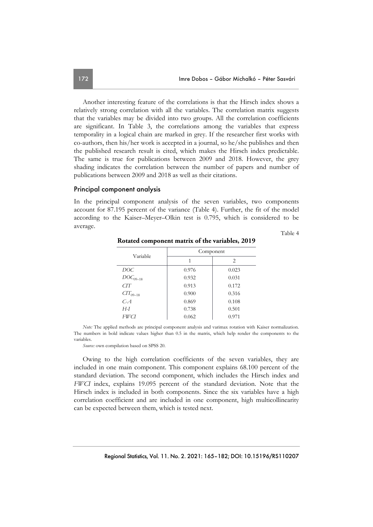Another interesting feature of the correlations is that the Hirsch index shows a relatively strong correlation with all the variables. The correlation matrix suggests that the variables may be divided into two groups. All the correlation coefficients are significant. In Table 3, the correlations among the variables that express temporality in a logical chain are marked in grey. If the researcher first works with co-authors, then his/her work is accepted in a journal, so he/she publishes and then the published research result is cited, which makes the Hirsch index predictable. The same is true for publications between 2009 and 2018. However, the grey shading indicates the correlation between the number of papers and number of publications between 2009 and 2018 as well as their citations.

#### Principal component analysis

In the principal component analysis of the seven variables, two components account for 87.195 percent of the variance (Table 4). Further, the fit of the model according to the Kaiser–Meyer–Olkin test is 0.795, which is considered to be average.

Table 4

| Variable      | Component |       |  |  |  |  |
|---------------|-----------|-------|--|--|--|--|
|               | 1         | 2     |  |  |  |  |
| DOC.          | 0.976     | 0.023 |  |  |  |  |
| $DOC_{09-18}$ | 0.932     | 0.031 |  |  |  |  |
| CTT           | 0.913     | 0.172 |  |  |  |  |
| $CT_{09-18}$  | 0.900     | 0.316 |  |  |  |  |
| $C - A$       | 0.869     | 0.108 |  |  |  |  |
| H-I           | 0.738     | 0.501 |  |  |  |  |
| FWCI          | 0.062     | 0.971 |  |  |  |  |

**Rotated component matrix of the variables, 2019** 

*Note:* The applied methods are principal component analysis and varimax rotation with Kaiser normalization. The numbers in bold indicate values higher than 0.5 in the matrix, which help render the components to the variables.

*Source:* own compilation based on SPSS 20.

Owing to the high correlation coefficients of the seven variables, they are included in one main component. This component explains 68.100 percent of the standard deviation. The second component, which includes the Hirsch index and *FWCI* index, explains 19.095 percent of the standard deviation. Note that the Hirsch index is included in both components. Since the six variables have a high correlation coefficient and are included in one component, high multicollinearity can be expected between them, which is tested next.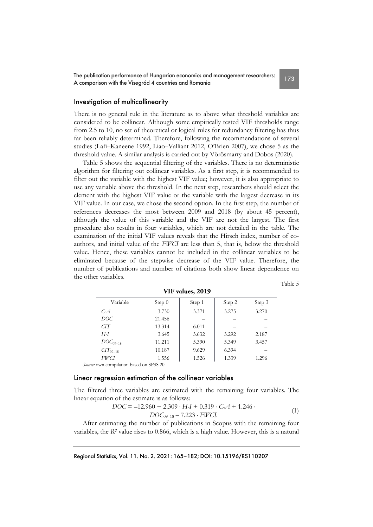### Investigation of multicollinearity

There is no general rule in the literature as to above what threshold variables are considered to be collinear. Although some empirically tested VIF thresholds range from 2.5 to 10, no set of theoretical or logical rules for redundancy filtering has thus far been reliably determined. Therefore, following the recommendations of several studies (Lafi–Kaneene 1992, Liao–Valliant 2012, O'Brien 2007), we chose 5 as the threshold value. A similar analysis is carried out by Vörösmarty and Dobos (2020).

Table 5 shows the sequential filtering of the variables. There is no deterministic algorithm for filtering out collinear variables. As a first step, it is recommended to filter out the variable with the highest VIF value; however, it is also appropriate to use any variable above the threshold. In the next step, researchers should select the element with the highest VIF value or the variable with the largest decrease in its VIF value. In our case, we chose the second option. In the first step, the number of references decreases the most between 2009 and 2018 (by about 45 percent), although the value of this variable and the VIF are not the largest. The first procedure also results in four variables, which are not detailed in the table. The examination of the initial VIF values reveals that the Hirsch index, number of coauthors, and initial value of the *FWCI* are less than 5, that is, below the threshold value. Hence, these variables cannot be included in the collinear variables to be eliminated because of the stepwise decrease of the VIF value. Therefore, the number of publications and number of citations both show linear dependence on the other variables.

| ł<br>٠<br>٧<br>۹ |
|------------------|
|------------------|

| Variable      | Step 0 | Step 1 | Step 2 | Step 3 |
|---------------|--------|--------|--------|--------|
| $C - A$       | 3.730  | 3.371  | 3.275  | 3.270  |
| DOC           | 21.456 |        |        |        |
| CTT           | 13.314 | 6.011  |        |        |
| $H-I$         | 3.645  | 3.632  | 3.292  | 2.187  |
| $DOC_{09-18}$ | 11.211 | 5.390  | 5.349  | 3.457  |
| $CT_{09-18}$  | 10.187 | 9.629  | 6.394  |        |
| FWCI          | 1.556  | 1.526  | 1.339  | 1.296  |

 **VIF values, 2019** 

*Source:* own compilation based on SPSS 20.

### Linear regression estimation of the collinear variables

The filtered three variables are estimated with the remaining four variables. The linear equation of the estimate is as follows:

$$
DOC = -12.960 + 2.309 \cdot H \cdot I + 0.319 \cdot C \cdot A + 1.246 \cdot \text{DOC}_{9-18} - 7.223 \cdot FWCI. \tag{1}
$$

After estimating the number of publications in Scopus with the remaining four variables, the *R2* value rises to 0.866, which is a high value. However, this is a natural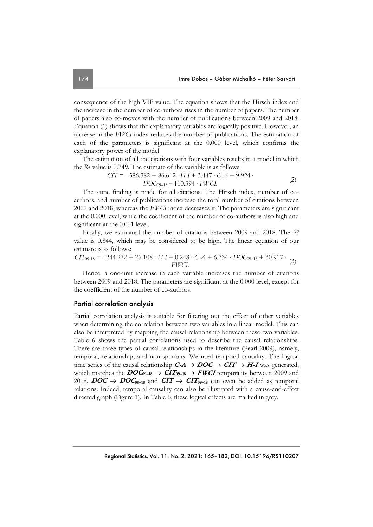consequence of the high VIF value. The equation shows that the Hirsch index and the increase in the number of co-authors rises in the number of papers. The number of papers also co-moves with the number of publications between 2009 and 2018. Equation (1) shows that the explanatory variables are logically positive. However, an increase in the *FWCI* index reduces the number of publications. The estimation of each of the parameters is significant at the 0.000 level, which confirms the explanatory power of the model.

The estimation of all the citations with four variables results in a model in which the *R2* value is 0.749. The estimate of the variable is as follows:

$$
CIT = -586.382 + 86.612 \cdot H - I + 3.447 \cdot C - A + 9.924 \cdot DOC_{09-18} - 110.394 \cdot FWCI.
$$
 (2)

The same finding is made for all citations. The Hirsch index, number of coauthors, and number of publications increase the total number of citations between 2009 and 2018, whereas the *FWCI* index decreases it. The parameters are significant at the 0.000 level, while the coefficient of the number of co-authors is also high and significant at the 0.001 level.

Finally, we estimated the number of citations between 2009 and 2018. The *R2* value is 0.844, which may be considered to be high. The linear equation of our estimate is as follows:

$$
CIT_{09\text{-}18} = -244.272 + 26.108 \cdot H \cdot I + 0.248 \cdot C \cdot A + 6.734 \cdot DOC_{09\text{-}18} + 30.917 \cdot (3)
$$
\n
$$
FWCI.
$$

Hence, a one-unit increase in each variable increases the number of citations between 2009 and 2018. The parameters are significant at the 0.000 level, except for the coefficient of the number of co-authors.

#### Partial correlation analysis

Partial correlation analysis is suitable for filtering out the effect of other variables when determining the correlation between two variables in a linear model. This can also be interpreted by mapping the causal relationship between these two variables. Table 6 shows the partial correlations used to describe the causal relationships. There are three types of causal relationships in the literature (Pearl 2009), namely, temporal, relationship, and non-spurious. We used temporal causality. The logical time series of the causal relationship  $C-A \rightarrow DOC \rightarrow CIT \rightarrow H-I$  was generated, which matches the  $DOC_{9-18} \rightarrow CIT_{9-18} \rightarrow FWCI$  temporality between 2009 and 2018.  $DOC \rightarrow DOC_{09-18}$  and  $CIT \rightarrow CIT_{09-18}$  can even be added as temporal relations. Indeed, temporal causality can also be illustrated with a cause-and-effect directed graph (Figure 1). In Table 6, these logical effects are marked in grey.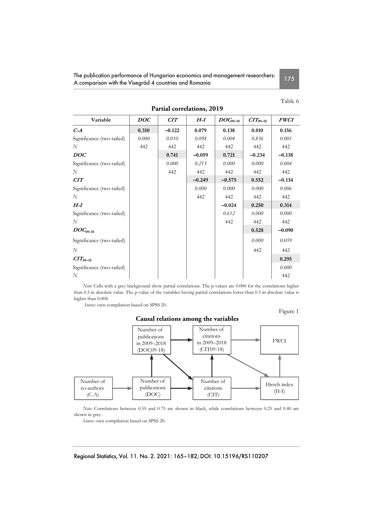The publication performance of Hungarian economics and management researchers: The publication performance of Hungarian economics and management researchers:<br>A comparison with the Visegrád 4 countries and Romania

 **Partial correlations, 2019** 

### Table 6

| Variable                  | DOC   | CIT      | H-I      |               |               | <i><b>FWCI</b></i> |
|---------------------------|-------|----------|----------|---------------|---------------|--------------------|
|                           |       |          |          | $DOC_{09-18}$ | $CTT_{09-18}$ |                    |
| $C-A$                     | 0.310 | $-0.122$ | 0.079    | 0.138         | 0.010         | 0.156              |
| Significance (two-tailed) | 0.000 | 0.010    | 0.098    | 0.004         | 0.836         | 0.001              |
| N                         | 442   | 442      | 442      | 442           | 442           | 442                |
| DOC                       |       | 0.741    | $-0.059$ | 0.721         | $-0.234$      | $-0.138$           |
| Significance (two-tailed) |       | 0.000    | 0.213    | 0.000         | 0.000         | 0.004              |
| N                         |       | 442      | 442      | 442           | 442           | 442                |
| CIT                       |       |          | $-0.249$ | $-0.575$      | 0.552         | $-0.134$           |
| Significance (two-tailed) |       |          | 0.000    | 0.000         | 0.000         | 0.006              |
| N                         |       |          | 442      | 442           | 442           | 442                |
| $H-I$                     |       |          |          | $-0.024$      | 0.250         | 0.314              |
| Significance (two-tailed) |       |          |          | 0.612         | 0.000         | 0.000              |
| N                         |       |          |          | 442           | 442           | 442                |
| $DOC_{09-18}$             |       |          |          |               | 0.528         | $-0.090$           |
| Significance (two-tailed) |       |          |          |               | 0.000         | 0.059              |
| N                         |       |          |          |               | 442           | 442                |
| $CTT_{09-18}$             |       |          |          |               |               | 0.295              |
| Significance (two-tailed) |       |          |          |               |               | 0.000              |
| N                         |       |          |          |               |               | 442                |

*Note:* Cells with a grey background show partial correlations. The p-values are 0.000 for the correlations higher than 0.3 in absolute value. The p-value of the variables having partial correlations lower than 0.3 in absolute value is higher than 0.004.

 *Source:* own compilation based on SPSS 20.

### Figure 1



*Note:* Correlations between 0.55 and 0.75 are shown in black, while correlations between 0.25 and 0.40 are shown in grey.

*Source:* own compilation based on SPSS 20.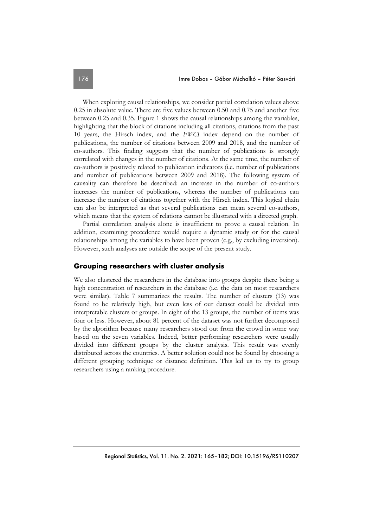When exploring causal relationships, we consider partial correlation values above 0.25 in absolute value. There are five values between 0.50 and 0.75 and another five between 0.25 and 0.35. Figure 1 shows the causal relationships among the variables, highlighting that the block of citations including all citations, citations from the past 10 years, the Hirsch index, and the *FWCI* index depend on the number of publications, the number of citations between 2009 and 2018, and the number of co-authors. This finding suggests that the number of publications is strongly correlated with changes in the number of citations. At the same time, the number of co-authors is positively related to publication indicators (i.e. number of publications and number of publications between 2009 and 2018). The following system of causality can therefore be described: an increase in the number of co-authors increases the number of publications, whereas the number of publications can increase the number of citations together with the Hirsch index. This logical chain can also be interpreted as that several publications can mean several co-authors, which means that the system of relations cannot be illustrated with a directed graph.

Partial correlation analysis alone is insufficient to prove a causal relation. In addition, examining precedence would require a dynamic study or for the causal relationships among the variables to have been proven (e.g., by excluding inversion). However, such analyses are outside the scope of the present study.

### **Grouping researchers with cluster analysis**

We also clustered the researchers in the database into groups despite there being a high concentration of researchers in the database (i.e. the data on most researchers were similar). Table 7 summarizes the results. The number of clusters (13) was found to be relatively high, but even less of our dataset could be divided into interpretable clusters or groups. In eight of the 13 groups, the number of items was four or less. However, about 81 percent of the dataset was not further decomposed by the algorithm because many researchers stood out from the crowd in some way based on the seven variables. Indeed, better performing researchers were usually divided into different groups by the cluster analysis. This result was evenly distributed across the countries. A better solution could not be found by choosing a different grouping technique or distance definition. This led us to try to group researchers using a ranking procedure.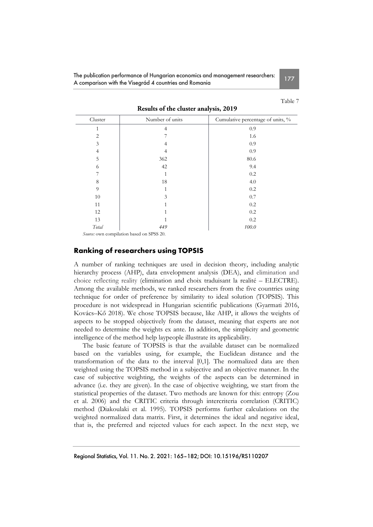The publication performance of Hungarian economics and management researchers: The poblication performance of Hongarian economics and management researchers.<br>A comparison with the Visegrád 4 countries and Romania

Table 7

|             |                 | ◢                                 |
|-------------|-----------------|-----------------------------------|
| Cluster     | Number of units | Cumulative percentage of units, % |
|             | 4               | 0.9                               |
| 2           |                 | 1.6                               |
| 3           | 4               | 0.9                               |
| 4           |                 | 0.9                               |
| 5           | 362             | 80.6                              |
| 6           | 42              | 9.4                               |
|             |                 | 0.2                               |
| 8           | 18              | $4.0\,$                           |
| $\mathbf 9$ |                 | 0.2                               |
| 10          | 3               | 0.7                               |
| 11          |                 | 0.2                               |
| 12          |                 | 0.2                               |
| 13          |                 | 0.2                               |
| Total       | 449             | 100.0                             |

 **Results of the cluster analysis, 2019** 

#### *Source:* own compilation based on SPSS 20.

### **Ranking of researchers using TOPSIS**

A number of ranking techniques are used in decision theory, including analytic hierarchy process (AHP), data envelopment analysis (DEA), and elimination and choice reflecting reality (elimination and choix traduisant la realité – ELECTRE). Among the available methods, we ranked researchers from the five countries using technique for order of preference by similarity to ideal solution (TOPSIS). This procedure is not widespread in Hungarian scientific publications (Gyarmati 2016, Kovács–Kő 2018). We chose TOPSIS because, like AHP, it allows the weights of aspects to be stopped objectively from the dataset, meaning that experts are not needed to determine the weights ex ante. In addition, the simplicity and geometric intelligence of the method help laypeople illustrate its applicability.

The basic feature of TOPSIS is that the available dataset can be normalized based on the variables using, for example, the Euclidean distance and the transformation of the data to the interval [0,1]. The normalized data are then weighted using the TOPSIS method in a subjective and an objective manner. In the case of subjective weighting, the weights of the aspects can be determined in advance (i.e. they are given). In the case of objective weighting, we start from the statistical properties of the dataset. Two methods are known for this: entropy (Zou et al. 2006) and the CRITIC criteria through intercriteria correlation (CRITIC) method (Diakoulaki et al. 1995). TOPSIS performs further calculations on the weighted normalized data matrix. First, it determines the ideal and negative ideal, that is, the preferred and rejected values for each aspect. In the next step, we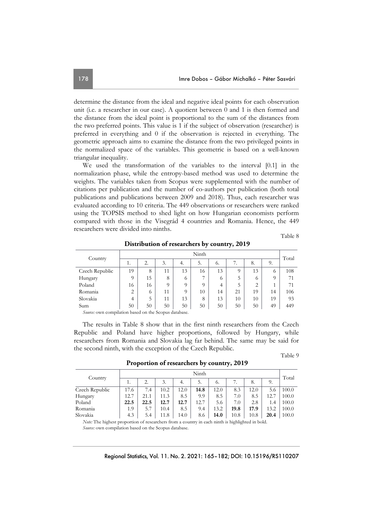determine the distance from the ideal and negative ideal points for each observation unit (i.e. a researcher in our case). A quotient between 0 and 1 is then formed and the distance from the ideal point is proportional to the sum of the distances from the two preferred points. This value is 1 if the subject of observation (researcher) is preferred in everything and 0 if the observation is rejected in everything. The geometric approach aims to examine the distance from the two privileged points in the normalized space of the variables. This geometric is based on a well-known triangular inequality.

We used the transformation of the variables to the interval [0.1] in the normalization phase, while the entropy-based method was used to determine the weights. The variables taken from Scopus were supplemented with the number of citations per publication and the number of co-authors per publication (both total publications and publications between 2009 and 2018). Thus, each researcher was evaluated according to 10 criteria. The 449 observations or researchers were ranked using the TOPSIS method to shed light on how Hungarian economists perform compared with those in the Visegrád 4 countries and Romania. Hence, the 449 researchers were divided into ninths.

Table 8

Table 9

|                                                             | Ninth    |         |          |          |          |                |          |                |                | Total |
|-------------------------------------------------------------|----------|---------|----------|----------|----------|----------------|----------|----------------|----------------|-------|
| Country                                                     | ı.       | 2.      | 3.       | 4.       | 5.       | $\mathbf{0}$ . | 7.       | 8.             | 9.             |       |
| Czech Republic                                              | 19       | 8       | 11       | 13       | 16       | 13             | $\Omega$ | 13             | $\mathfrak{h}$ | 108   |
| Hungary                                                     | $\Omega$ | 15      | 8        | O        | ⇁        | O              | 5        | $\mathfrak{h}$ | $\Omega$       | 71    |
| Poland                                                      | 16       | 16      | $\Omega$ | $\Omega$ | $\Omega$ | 4              | 5        | ↑              |                | 71    |
| Romania                                                     | 2        | $\circ$ | 11       | O        | 10       | 14             | 21       | 19             | 14             | 106   |
| Slovakia                                                    | 4        | 5       | 11       | 13       | 8        | 13             | 10       | 10             | 19             | 93    |
| Sum                                                         | 50       | 50      | 50       | 50       | 50       | 50             | 50       | 50             | 49             | 449   |
| Commodated as a method of the formula of the Commodated and |          |         |          |          |          |                |          |                |                |       |

 **Distribution of researchers by country, 2019** 

*Source:* own compilation based on the Scopus database.

The results in Table 8 show that in the first ninth researchers from the Czech Republic and Poland have higher proportions, followed by Hungary, while researchers from Romania and Slovakia lag far behind. The same may be said for the second ninth, with the exception of the Czech Republic.

 **Proportion of researchers by country, 2019** 

|                | Ninth |      |      |      |      |      |      |      |      | Total |
|----------------|-------|------|------|------|------|------|------|------|------|-------|
| Country        | 1.    |      | 3.   | 4.   | 5.   | 6.   |      | 8.   | 9.   |       |
| Czech Republic | 17.6  | 7.4  | 10.2 | 12.0 | 14.8 | 12.0 | 8.3  | 12.0 | 5.6  | 100.0 |
| Hungary        | 12.7  | 21.1 | 11.3 | 8.5  | 9.9  | 8.5  | 7.0  | 8.5  | 12.7 | 100.0 |
| Poland         | 22.5  | 22.5 | 12.7 | 12.7 | 12.7 | 5.6  | 7.0  | 2.8  | 1.4  | 100.0 |
| Romania        | 1.9   | 5.7  | 10.4 | 8.5  | 9.4  | 13.2 | 19.8 | 17.9 | 13.2 | 100.0 |
| Slovakia       | 4.3   | 5.4  | 11.8 | 14.0 | 8.6  | 14.0 | 10.8 | 10.8 | 20.4 | 100.0 |
|                |       |      |      |      |      |      |      |      |      |       |

*Note:* The highest proportion of researchers from a country in each ninth is highlighted in bold. *Source:* own compilation based on the Scopus database.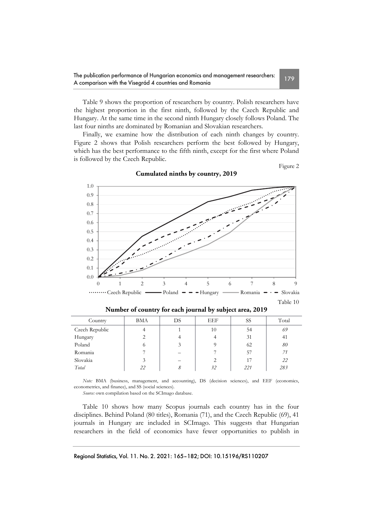Table 9 shows the proportion of researchers by country. Polish researchers have the highest proportion in the first ninth, followed by the Czech Republic and Hungary. At the same time in the second ninth Hungary closely follows Poland. The last four ninths are dominated by Romanian and Slovakian researchers.

Finally, we examine how the distribution of each ninth changes by country. Figure 2 shows that Polish researchers perform the best followed by Hungary, which has the best performance to the fifth ninth, except for the first where Poland is followed by the Czech Republic.



**Cumulated ninths by country, 2019** 

| Country        | <b>BMA</b> | DS | EEF | SS  | Total |
|----------------|------------|----|-----|-----|-------|
| Czech Republic |            |    | 10  | 54  | 69    |
| Hungary        |            |    |     | 31  | 41    |
| Poland         | $\Omega$   |    |     | 62  | 80    |
| Romania        |            |    |     | 57  | 71    |
| Slovakia       |            |    |     | 17  | 22    |
| Total          | 22         | 8  | 32  | 221 | 283   |

**Number of country for each journal by subject area, 2019** 

*Note:* BMA (business, management, and accounting), DS (decision sciences), and EEF (economics, econometrics, and finance), and SS (social sciences).

*Source:* own compilation based on the SCImago database.

Table 10 shows how many Scopus journals each country has in the four disciplines. Behind Poland (80 titles), Romania (71), and the Czech Republic (69), 41 journals in Hungary are included in SCImago. This suggests that Hungarian researchers in the field of economics have fewer opportunities to publish in

Figure 2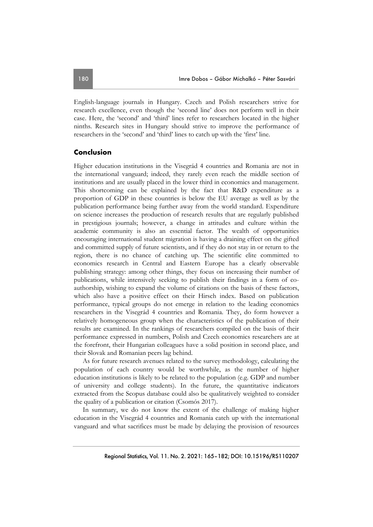English-language journals in Hungary. Czech and Polish researchers strive for research excellence, even though the 'second line' does not perform well in their case. Here, the 'second' and 'third' lines refer to researchers located in the higher ninths. Research sites in Hungary should strive to improve the performance of researchers in the 'second' and 'third' lines to catch up with the 'first' line.

### **Conclusion**

Higher education institutions in the Visegrád 4 countries and Romania are not in the international vanguard; indeed, they rarely even reach the middle section of institutions and are usually placed in the lower third in economics and management. This shortcoming can be explained by the fact that R&D expenditure as a proportion of GDP in these countries is below the EU average as well as by the publication performance being further away from the world standard. Expenditure on science increases the production of research results that are regularly published in prestigious journals; however, a change in attitudes and culture within the academic community is also an essential factor. The wealth of opportunities encouraging international student migration is having a draining effect on the gifted and committed supply of future scientists, and if they do not stay in or return to the region, there is no chance of catching up. The scientific elite committed to economics research in Central and Eastern Europe has a clearly observable publishing strategy: among other things, they focus on increasing their number of publications, while intensively seeking to publish their findings in a form of coauthorship, wishing to expand the volume of citations on the basis of these factors, which also have a positive effect on their Hirsch index. Based on publication performance, typical groups do not emerge in relation to the leading economics researchers in the Visegrád 4 countries and Romania. They, do form however a relatively homogeneous group when the characteristics of the publication of their results are examined. In the rankings of researchers compiled on the basis of their performance expressed in numbers, Polish and Czech economics researchers are at the forefront, their Hungarian colleagues have a solid position in second place, and their Slovak and Romanian peers lag behind.

As for future research avenues related to the survey methodology, calculating the population of each country would be worthwhile, as the number of higher education institutions is likely to be related to the population (e.g. GDP and number of university and college students). In the future, the quantitative indicators extracted from the Scopus database could also be qualitatively weighted to consider the quality of a publication or citation (Csomós 2017).

In summary, we do not know the extent of the challenge of making higher education in the Visegrád 4 countries and Romania catch up with the international vanguard and what sacrifices must be made by delaying the provision of resources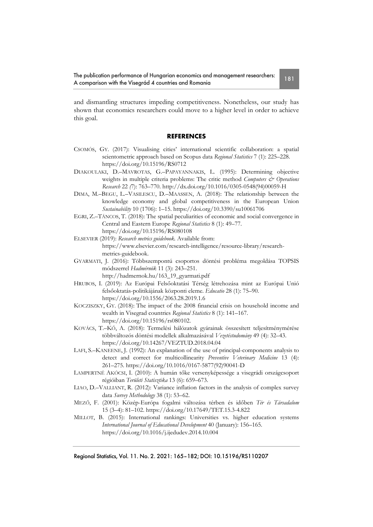The publication performance of Hungarian economics and management researchers: The publication performance or Hungarian economics and management researchers:<br>A comparison with the Visegrád 4 countries and Romania

and dismantling structures impeding competitiveness. Nonetheless, our study has shown that economics researchers could move to a higher level in order to achieve this goal.

### **REFERENCES**

- CSOMÓS, GY. (2017): Visualising cities' international scientific collaboration: a spatial scientometric approach based on Scopus data *Regional Statistics* 7 (1): 225–228. https://doi.org/10.15196/RS0712
- DIAKOULAKI, D.–MAVROTAS, G.–PAPAYANNAKIS, L. (1995): Determining objective weights in multiple criteria problems: The critic method *Computers & Operations Research* 22 *(*7): 763–770. http://dx.doi.org/10.1016/0305-0548(94)00059-H
- DIMA, M.–BEGU, L.–VASILESCU, D.–MAASSEN, A. (2018): The relationship between the knowledge economy and global competitiveness in the European Union *Sustainability* 10 (1706): 1–15. https://doi.org/10.3390/su10061706
- EGRI, Z.–TÁNCOS, T. (2018): The spatial peculiarities of economic and social convergence in Central and Eastern Europe *Regional Statistics* 8 (1): 49–77. https://doi.org/10.15196/RS080108
- ELSEVIER (2019): *Research metrics guidebook.* Available from: https://www.elsevier.com/research-intelligence/resource-library/researchmetrics-guidebook.
- GYARMATI, J. (2016): Többszempontú csoportos döntési probléma megoldása TOPSIS módszerrel *Hadmérnök* 11 (3): 243–251. http://hadmernok.hu/163\_19\_gyarmati.pdf
- HRUBOS, I. (2019): Az Európai Felsőoktatási Térség létrehozása mint az Európai Unió felsőoktatás-politikájának központi eleme. *Educatio* 28 (1): 75–90. https://doi.org/10.1556/2063.28.2019.1.6
- KOCZISZKY, GY. (2018): The impact of the 2008 financial crisis on household income and wealth in Visegrad countries *Regional Statistics* 8 (1): 141–167. https://doi.org/10.15196/rs080102.
- KOVÁCS, T.–KŐ, A. (2018): Termelési hálózatok gyárainak összesített teljesítménymérése többváltozós döntési modellek alkalmazásával *Vezetéstudomány* 49 (4): 32–43. https://doi.org/10.14267/VEZTUD.2018.04.04
- LAFI, S.–KANEENE, J. (1992): An explanation of the use of principal-components analysis to detect and correct for multicollinearity *Preventive Veterinary Medicine* 13 (4): 261–275. https://doi.org/10.1016/0167-5877(92)90041-D
- LAMPERTNÉ AKÓCSI, I. (2010): A humán tőke versenyképessége a visegrádi országcsoport régióiban *Területi Statisztika* 13 (6): 659–673.
- LIAO, D.–VALLIANT, R. (2012): Variance inflation factors in the analysis of complex survey data *Survey Methodology* 38 (1): 53–62.
- MEZŐ, F. (2001): Közép-Európa fogalmi változása térben és időben *Tér és Társadalom* 15 (3–4): 81–102. https://doi.org/10.17649/TET.15.3-4.822
- MILLOT, B. (2015): International rankings: Universities vs. higher education systems *International Journal of Educational Development* 40 (January): 156–165. https://doi.org/10.1016/j.ijedudev.2014.10.004